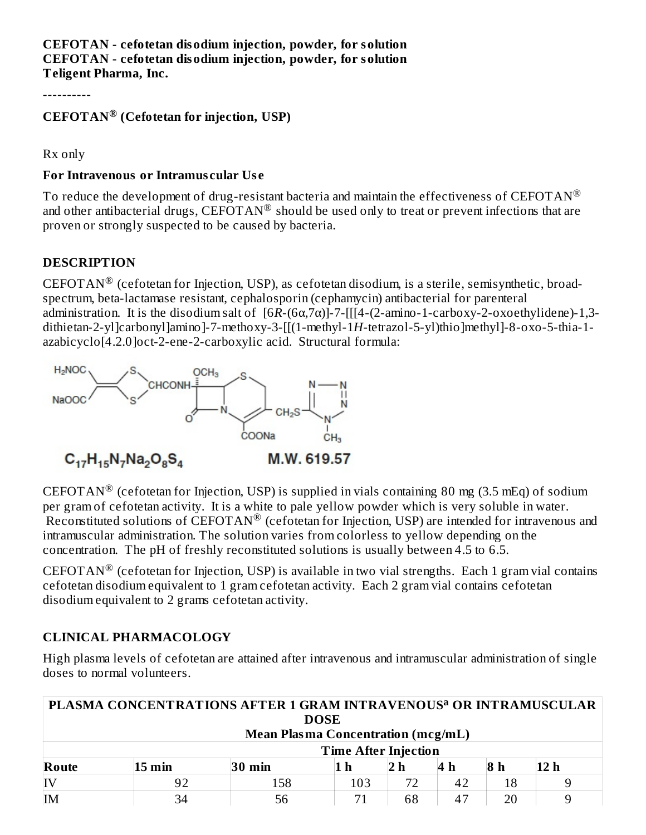**CEFOTAN - cefotetan disodium injection, powder, for solution CEFOTAN - cefotetan disodium injection, powder, for solution Teligent Pharma, Inc.**

----------

## **CEFOTAN (Cefotetan for injection, USP) ®**

Rx only

#### **For Intravenous or Intramus cular Us e**

To reduce the development of drug-resistant bacteria and maintain the effectiveness of CEFOTAN $^{\circledR}$ and other antibacterial drugs, CEFOTAN® should be used only to treat or prevent infections that are proven or strongly suspected to be caused by bacteria.

### **DESCRIPTION**

CEFOTAN $^{\circledR}$  (cefotetan for Injection, USP), as cefotetan disodium, is a sterile, semisynthetic, broadspectrum, beta-lactamase resistant, cephalosporin (cephamycin) antibacterial for parenteral administration. It is the disodium salt of [6*R*-(6α,7α)]-7-[[[4-(2-amino-1-carboxy-2-oxoethylidene)-1,3 dithietan-2-yl]carbonyl]amino]-7-methoxy-3-[[(1-methyl-1*H*-tetrazol-5-yl)thio]methyl]-8-oxo-5-thia-1 azabicyclo[4.2.0]oct-2-ene-2-carboxylic acid. Structural formula:



CEFOTAN<sup>®</sup> (cefotetan for Injection, USP) is supplied in vials containing 80 mg (3.5 mEq) of sodium per gram of cefotetan activity. It is a white to pale yellow powder which is very soluble in water. Reconstituted solutions of  $\overline{\text{CEFOTAN}}^{\textcircled{\tiny{\textregistered}}}$  (cefotetan for Injection, USP) are intended for intravenous and intramuscular administration. The solution varies from colorless to yellow depending on the concentration. The pH of freshly reconstituted solutions is usually between 4.5 to 6.5.

CEFOTAN<sup>®</sup> (cefotetan for Injection, USP) is available in two vial strengths. Each 1 gram vial contains cefotetan disodium equivalent to 1 gram cefotetan activity. Each 2 gram vial contains cefotetan disodium equivalent to 2 grams cefotetan activity.

## **CLINICAL PHARMACOLOGY**

High plasma levels of cefotetan are attained after intravenous and intramuscular administration of single doses to normal volunteers.

| PLASMA CONCENTRATIONS AFTER 1 GRAM INTRAVENOUS <sup>a</sup> OR INTRAMUSCULAR |                                                                     |     |     |    |    |    |  |  |
|------------------------------------------------------------------------------|---------------------------------------------------------------------|-----|-----|----|----|----|--|--|
|                                                                              | <b>DOSE</b>                                                         |     |     |    |    |    |  |  |
|                                                                              | <b>Mean Plasma Concentration (mcg/mL)</b>                           |     |     |    |    |    |  |  |
|                                                                              | <b>Time After Injection</b>                                         |     |     |    |    |    |  |  |
| Route                                                                        | $15 \text{ min}$<br>30 min<br>12 <sub>h</sub><br>1 h<br>4 h<br> 8 h |     |     |    |    |    |  |  |
| IV                                                                           | 92                                                                  | 158 | 103 | 72 | 42 | 18 |  |  |
| IM                                                                           | 34                                                                  | 56  | 71  | 68 | 47 | 20 |  |  |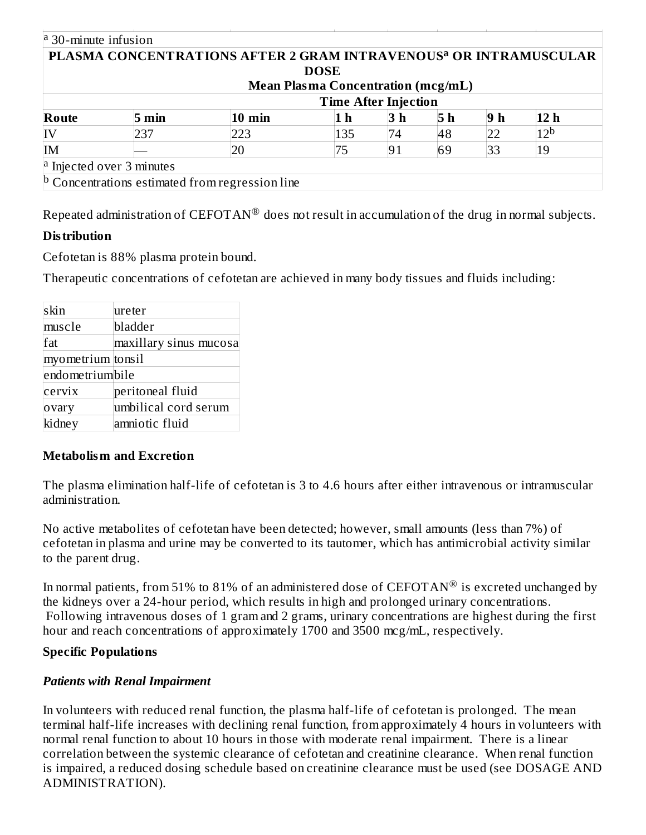| $\vert a \vert$ 30-minute infusion           |                                                                              |                                                            |                                           |     |     |                |                 |  |
|----------------------------------------------|------------------------------------------------------------------------------|------------------------------------------------------------|-------------------------------------------|-----|-----|----------------|-----------------|--|
|                                              | PLASMA CONCENTRATIONS AFTER 2 GRAM INTRAVENOUS <sup>a</sup> OR INTRAMUSCULAR |                                                            |                                           |     |     |                |                 |  |
|                                              |                                                                              |                                                            | <b>DOSE</b>                               |     |     |                |                 |  |
|                                              |                                                                              |                                                            | <b>Mean Plasma Concentration (mcg/mL)</b> |     |     |                |                 |  |
|                                              | <b>Time After Injection</b>                                                  |                                                            |                                           |     |     |                |                 |  |
| Route                                        | $5 \text{ min}$                                                              | $10 \text{ min}$                                           | 1 h                                       | 3 h | 5 h | 9 <sub>h</sub> | 12 <sub>h</sub> |  |
| IV                                           | 237                                                                          | 223                                                        | 135                                       | 74  | 48  | 22             | 12 <sub>b</sub> |  |
| IM                                           |                                                                              | 20                                                         | 75                                        | 91  | 69  | 33             | 19              |  |
| $\vert$ <sup>a</sup> Injected over 3 minutes |                                                                              |                                                            |                                           |     |     |                |                 |  |
|                                              |                                                                              | $\mathbb{P}$ Concentrations estimated from regression line |                                           |     |     |                |                 |  |

IM 34 56 71 68 71 68 71 68 71 68 71 68 71 68 71 68 71 68 71 68 71 68 71 68 71 68 71 68 71 68 71 68 71 68 71 68

Repeated administration of CEFOTAN $^{\circledR}$  does not result in accumulation of the drug in normal subjects.

# **Distribution**

Cefotetan is 88% plasma protein bound.

Therapeutic concentrations of cefotetan are achieved in many body tissues and fluids including:

| skin              | ureter                 |
|-------------------|------------------------|
| muscle            | bladder                |
| fat               | maxillary sinus mucosa |
| myometrium tonsil |                        |
| endometriumbile   |                        |
| cervix            | peritoneal fluid       |
| ovary             | umbilical cord serum   |
| kidney            | amniotic fluid         |

# **Metabolism and Excretion**

The plasma elimination half-life of cefotetan is 3 to 4.6 hours after either intravenous or intramuscular administration.

No active metabolites of cefotetan have been detected; however, small amounts (less than 7%) of cefotetan in plasma and urine may be converted to its tautomer, which has antimicrobial activity similar to the parent drug.

In normal patients, from 51% to 81% of an administered dose of CEFOTAN® is excreted unchanged by the kidneys over a 24-hour period, which results in high and prolonged urinary concentrations. Following intravenous doses of 1 gram and 2 grams, urinary concentrations are highest during the first hour and reach concentrations of approximately 1700 and 3500 mcg/mL, respectively.

# **Specific Populations**

# *Patients with Renal Impairment*

In volunteers with reduced renal function, the plasma half-life of cefotetan is prolonged. The mean terminal half-life increases with declining renal function, from approximately 4 hours in volunteers with normal renal function to about 10 hours in those with moderate renal impairment. There is a linear correlation between the systemic clearance of cefotetan and creatinine clearance. When renal function is impaired, a reduced dosing schedule based on creatinine clearance must be used (see DOSAGE AND ADMINISTRATION).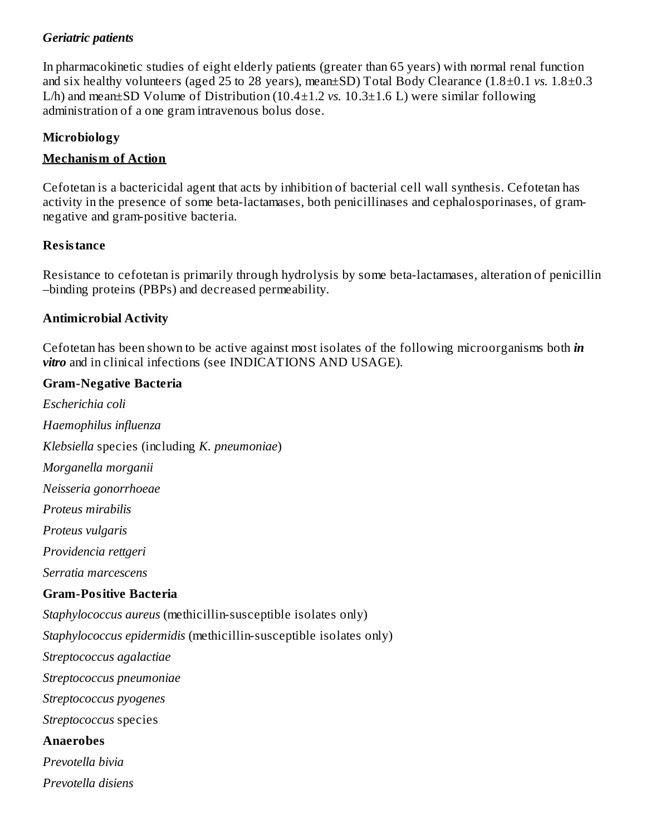### *Geriatric patients*

In pharmacokinetic studies of eight elderly patients (greater than 65 years) with normal renal function and six healthy volunteers (aged 25 to 28 years), mean±SD) Total Body Clearance (1.8±0.1 *vs.* 1.8±0.3 L/h) and mean±SD Volume of Distribution (10.4±1.2 *vs.* 10.3±1.6 L) were similar following administration of a one gram intravenous bolus dose.

### **Microbiology**

### **Mechanism of Action**

Cefotetan is a bactericidal agent that acts by inhibition of bacterial cell wall synthesis. Cefotetan has activity in the presence of some beta-lactamases, both penicillinases and cephalosporinases, of gramnegative and gram-positive bacteria.

### **Resistance**

Resistance to cefotetan is primarily through hydrolysis by some beta-lactamases, alteration of penicillin –binding proteins (PBPs) and decreased permeability.

### **Antimicrobial Activity**

Cefotetan has been shown to be active against most isolates of the following microorganisms both *in vitro* and in clinical infections (see INDICATIONS AND USAGE).

### **Gram-Negative Bacteria**

*Escherichia coli Haemophilus influenza Klebsiella* species (including *K. pneumoniae*) *Morganella morganii Neisseria gonorrhoeae Proteus mirabilis Proteus vulgaris Providencia rettgeri Serratia marcescens* **Gram-Positive Bacteria** *Staphylococcus aureus* (methicillin-susceptible isolates only) *Staphylococcus epidermidis* (methicillin-susceptible isolates only) *Streptococcus agalactiae Streptococcus pneumoniae Streptococcus pyogenes Streptococcus* species **Anaerobes** *Prevotella bivia Prevotella disiens*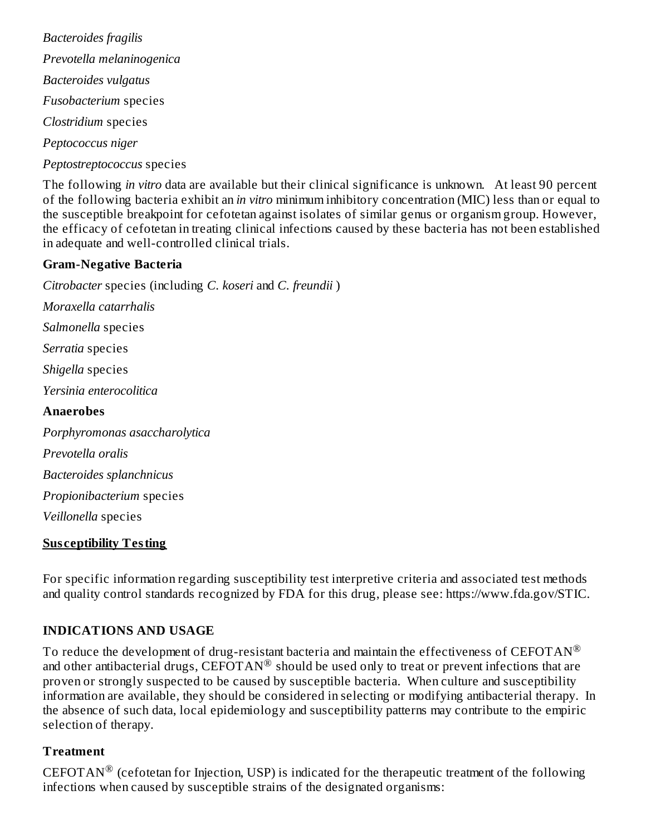*Bacteroides fragilis Prevotella melaninogenica Bacteroides vulgatus Fusobacterium* species *Clostridium* species *Peptococcus niger Peptostreptococcus* species

The following *in vitro* data are available but their clinical significance is unknown. At least 90 percent of the following bacteria exhibit an *in vitro* minimum inhibitory concentration (MIC) less than or equal to the susceptible breakpoint for cefotetan against isolates of similar genus or organism group. However, the efficacy of cefotetan in treating clinical infections caused by these bacteria has not been established in adequate and well-controlled clinical trials.

## **Gram-Negative Bacteria**

*Citrobacter* species (including *C. koseri* and *C. freundii* ) *Moraxella catarrhalis Salmonella* species *Serratia* species *Shigella* species *Yersinia enterocolitica* **Anaerobes** *Porphyromonas asaccharolytica Prevotella oralis Bacteroides splanchnicus Propionibacterium* species *Veillonella* species

## **Sus ceptibility Testing**

For specific information regarding susceptibility test interpretive criteria and associated test methods and quality control standards recognized by FDA for this drug, please see: https://www.fda.gov/STIC.

## **INDICATIONS AND USAGE**

To reduce the development of drug-resistant bacteria and maintain the effectiveness of CEFOTAN $^{\circledR}$ and other antibacterial drugs,  $\text{CEFOTAN}^{\circledR}$  should be used only to treat or prevent infections that are proven or strongly suspected to be caused by susceptible bacteria. When culture and susceptibility information are available, they should be considered in selecting or modifying antibacterial therapy. In the absence of such data, local epidemiology and susceptibility patterns may contribute to the empiric selection of therapy.

## **Treatment**

CEFOTAN<sup>®</sup> (cefotetan for Injection, USP) is indicated for the therapeutic treatment of the following infections when caused by susceptible strains of the designated organisms: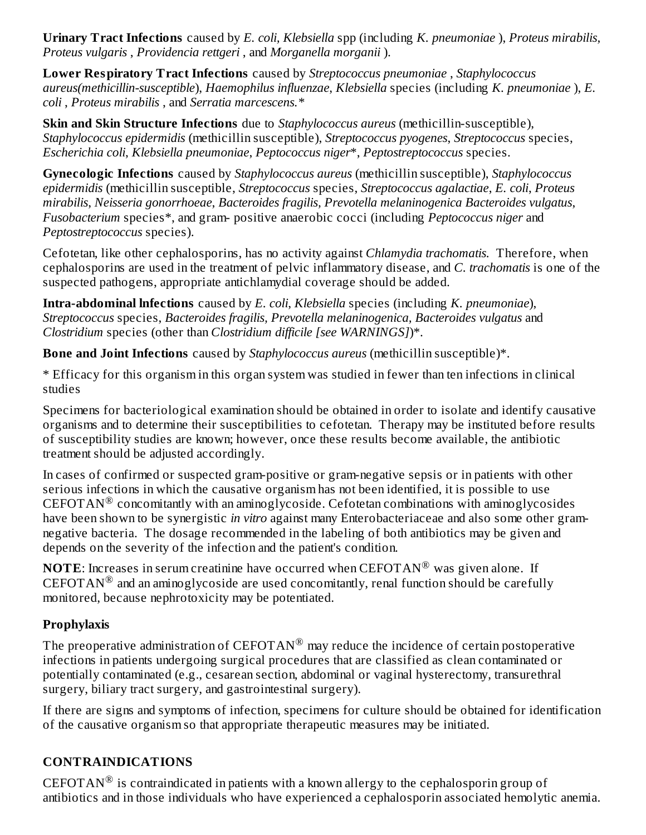**Urinary Tract Infections** caused by *E. coli, Klebsiella* spp (including *K. pneumoniae* ), *Proteus mirabilis, Proteus vulgaris* , *Providencia rettgeri* , and *Morganella morganii* ).

**Lower Respiratory Tract Infections** caused by *Streptococcus pneumoniae* , *Staphylococcus aureus(methicillin-susceptible*), *Haemophilus influenzae*, *Klebsiella* species (including *K. pneumoniae* ), *E. coli* , *Proteus mirabilis* , and *Serratia marcescens.\**

**Skin and Skin Structure Infections** due to *Staphylococcus aureus* (methicillin-susceptible), *Staphylococcus epidermidis* (methicillin susceptible), *Streptococcus pyogenes*, *Streptococcus* species, *Escherichia coli*, *Klebsiella pneumoniae*, *Peptococcus niger*\*, *Peptostreptococcus* species.

**Gynecologic Infections** caused by *Staphylococcus aureus* (methicillin susceptible), *Staphylococcus epidermidis* (methicillin susceptible, *Streptococcus* species, *Streptococcus agalactiae*, *E. coli*, *Proteus mirabilis*, *Neisseria gonorrhoeae*, *Bacteroides fragilis, Prevotella melaninogenica Bacteroides vulgatus*, *Fusobacterium* species\*, and gram- positive anaerobic cocci (including *Peptococcus niger* and *Peptostreptococcus* species).

Cefotetan, like other cephalosporins, has no activity against *Chlamydia trachomatis.* Therefore, when cephalosporins are used in the treatment of pelvic inflammatory disease, and *C. trachomatis* is one of the suspected pathogens, appropriate antichlamydial coverage should be added.

**Intra-abdominal lnfections** caused by *E. coli*, *Klebsiella* species (including *K. pneumoniae*), *Streptococcus* species, *Bacteroides fragilis, Prevotella melaninogenica, Bacteroides vulgatus* and *Clostridium* species (other than *Clostridium difficile [see WARNINGS]*)\*.

**Bone and Joint Infections** caused by *Staphylococcus aureus* (methicillin susceptible)\*.

\* Efficacy for this organism in this organ system was studied in fewer than ten infections in clinical studies

Specimens for bacteriological examination should be obtained in order to isolate and identify causative organisms and to determine their susceptibilities to cefotetan. Therapy may be instituted before results of susceptibility studies are known; however, once these results become available, the antibiotic treatment should be adjusted accordingly.

In cases of confirmed or suspected gram-positive or gram-negative sepsis or in patients with other serious infections in which the causative organism has not been identified, it is possible to use CEFOTAN<sup>®</sup> concomitantly with an aminoglycoside. Cefotetan combinations with aminoglycosides have been shown to be synergistic *in vitro* against many Enterobacteriaceae and also some other gramnegative bacteria. The dosage recommended in the labeling of both antibiotics may be given and depends on the severity of the infection and the patient's condition.

 $\mathbf{NOTE}$ : Increases in serum creatinine have occurred when  $\mathrm{CEFOTAN}^\circledR$  was given alone. If CEFOTAN<sup>®</sup> and an aminoglycoside are used concomitantly, renal function should be carefully monitored, because nephrotoxicity may be potentiated.

## **Prophylaxis**

The preoperative administration of CEFOTAN $^\circledR$  may reduce the incidence of certain postoperative infections in patients undergoing surgical procedures that are classified as clean contaminated or potentially contaminated (e.g., cesarean section, abdominal or vaginal hysterectomy, transurethral surgery, biliary tract surgery, and gastrointestinal surgery).

If there are signs and symptoms of infection, specimens for culture should be obtained for identification of the causative organism so that appropriate therapeutic measures may be initiated.

# **CONTRAINDICATIONS**

CEFOTAN $^{\circledR}$  is contraindicated in patients with a known allergy to the cephalosporin group of antibiotics and in those individuals who have experienced a cephalosporin associated hemolytic anemia.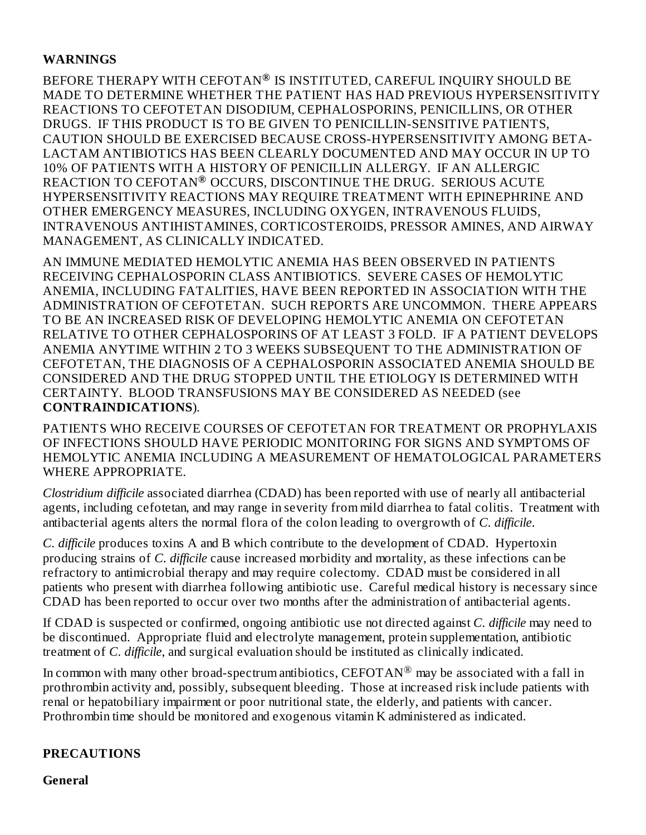#### **WARNINGS**

BEFORE THERAPY WITH CEFOTAN® IS INSTITUTED, CAREFUL INQUIRY SHOULD BE MADE TO DETERMINE WHETHER THE PATIENT HAS HAD PREVIOUS HYPERSENSITIVITY REACTIONS TO CEFOTETAN DISODIUM, CEPHALOSPORINS, PENICILLINS, OR OTHER DRUGS. IF THIS PRODUCT IS TO BE GIVEN TO PENICILLIN-SENSITIVE PATIENTS, CAUTION SHOULD BE EXERCISED BECAUSE CROSS-HYPERSENSITIVITY AMONG BETA-LACTAM ANTIBIOTICS HAS BEEN CLEARLY DOCUMENTED AND MAY OCCUR IN UP TO 10% OF PATIENTS WITH A HISTORY OF PENICILLIN ALLERGY. IF AN ALLERGIC REACTION TO CEFOTAN® OCCURS, DISCONTINUE THE DRUG. SERIOUS ACUTE HYPERSENSITIVITY REACTIONS MAY REQUIRE TREATMENT WITH EPINEPHRINE AND OTHER EMERGENCY MEASURES, INCLUDING OXYGEN, INTRAVENOUS FLUIDS, INTRAVENOUS ANTIHISTAMINES, CORTICOSTEROIDS, PRESSOR AMINES, AND AIRWAY MANAGEMENT, AS CLINICALLY INDICATED.

AN IMMUNE MEDIATED HEMOLYTIC ANEMIA HAS BEEN OBSERVED IN PATIENTS RECEIVING CEPHALOSPORIN CLASS ANTIBIOTICS. SEVERE CASES OF HEMOLYTIC ANEMIA, INCLUDING FATALITIES, HAVE BEEN REPORTED IN ASSOCIATION WITH THE ADMINISTRATION OF CEFOTETAN. SUCH REPORTS ARE UNCOMMON. THERE APPEARS TO BE AN INCREASED RISK OF DEVELOPING HEMOLYTIC ANEMIA ON CEFOTETAN RELATIVE TO OTHER CEPHALOSPORINS OF AT LEAST 3 FOLD. IF A PATIENT DEVELOPS ANEMIA ANYTIME WITHIN 2 TO 3 WEEKS SUBSEQUENT TO THE ADMINISTRATION OF CEFOTETAN, THE DIAGNOSIS OF A CEPHALOSPORIN ASSOCIATED ANEMIA SHOULD BE CONSIDERED AND THE DRUG STOPPED UNTIL THE ETIOLOGY IS DETERMINED WITH CERTAINTY. BLOOD TRANSFUSIONS MAY BE CONSIDERED AS NEEDED (see **CONTRAINDICATIONS**).

PATIENTS WHO RECEIVE COURSES OF CEFOTETAN FOR TREATMENT OR PROPHYLAXIS OF INFECTIONS SHOULD HAVE PERIODIC MONITORING FOR SIGNS AND SYMPTOMS OF HEMOLYTIC ANEMIA INCLUDING A MEASUREMENT OF HEMATOLOGICAL PARAMETERS WHERE APPROPRIATE.

*Clostridium difficile* associated diarrhea (CDAD) has been reported with use of nearly all antibacterial agents, including cefotetan, and may range in severity from mild diarrhea to fatal colitis. Treatment with antibacterial agents alters the normal flora of the colon leading to overgrowth of *C. difficile*.

*C. difficile* produces toxins A and B which contribute to the development of CDAD. Hypertoxin producing strains of *C. difficile* cause increased morbidity and mortality, as these infections can be refractory to antimicrobial therapy and may require colectomy. CDAD must be considered in all patients who present with diarrhea following antibiotic use. Careful medical history is necessary since CDAD has been reported to occur over two months after the administration of antibacterial agents.

If CDAD is suspected or confirmed, ongoing antibiotic use not directed against *C. difficile* may need to be discontinued. Appropriate fluid and electrolyte management, protein supplementation, antibiotic treatment of *C. difficile*, and surgical evaluation should be instituted as clinically indicated.

In common with many other broad-spectrum antibiotics,  $\text{CEFOTAN}^\circledR$  may be associated with a fall in prothrombin activity and, possibly, subsequent bleeding. Those at increased risk include patients with renal or hepatobiliary impairment or poor nutritional state, the elderly, and patients with cancer. Prothrombin time should be monitored and exogenous vitamin K administered as indicated.

## **PRECAUTIONS**

**General**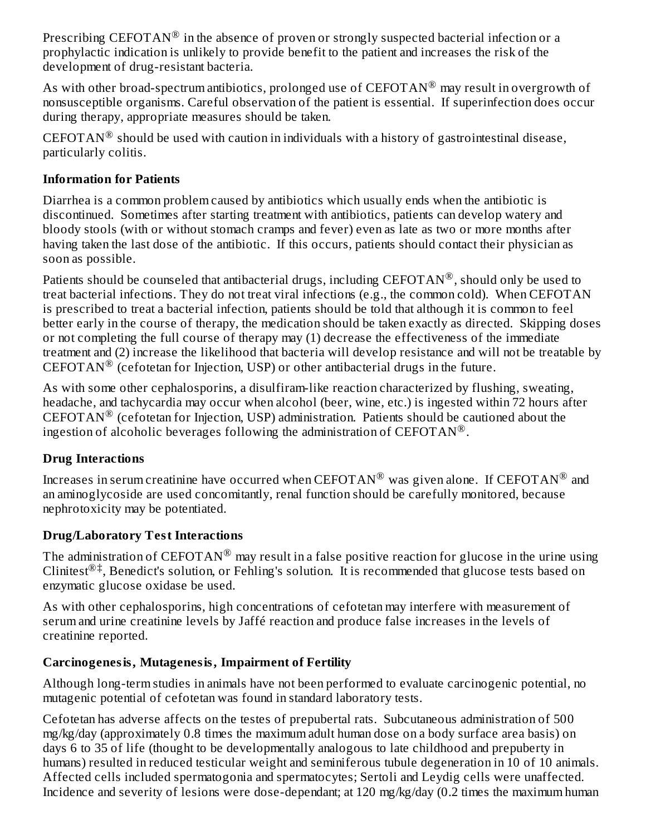Prescribing CEFOTAN $^\circledR$  in the absence of proven or strongly suspected bacterial infection or a prophylactic indication is unlikely to provide benefit to the patient and increases the risk of the development of drug-resistant bacteria.

As with other broad-spectrum antibiotics, prolonged use of  $\rm CEFOTAN^@$  may result in overgrowth of nonsusceptible organisms. Careful observation of the patient is essential. If superinfection does occur during therapy, appropriate measures should be taken.

CEFOTAN $^{\circledR}$  should be used with caution in individuals with a history of gastrointestinal disease, particularly colitis.

## **Information for Patients**

Diarrhea is a common problem caused by antibiotics which usually ends when the antibiotic is discontinued. Sometimes after starting treatment with antibiotics, patients can develop watery and bloody stools (with or without stomach cramps and fever) even as late as two or more months after having taken the last dose of the antibiotic. If this occurs, patients should contact their physician as soon as possible.

Patients should be counseled that antibacterial drugs, including  $\text{CEFOTAN}{}^{\textcircled{\tiny{\textregistered}}},$  should only be used to treat bacterial infections. They do not treat viral infections (e.g., the common cold). When CEFOTAN is prescribed to treat a bacterial infection, patients should be told that although it is common to feel better early in the course of therapy, the medication should be taken exactly as directed. Skipping doses or not completing the full course of therapy may (1) decrease the effectiveness of the immediate treatment and (2) increase the likelihood that bacteria will develop resistance and will not be treatable by CEFOTAN<sup>®</sup> (cefotetan for Injection, USP) or other antibacterial drugs in the future.

As with some other cephalosporins, a disulfiram-like reaction characterized by flushing, sweating, headache, and tachycardia may occur when alcohol (beer, wine, etc.) is ingested within 72 hours after CEFOTAN<sup>®</sup> (cefotetan for Injection, USP) administration. Patients should be cautioned about the ingestion of alcoholic beverages following the administration of CEFOTAN®.

## **Drug Interactions**

Increases in serum creatinine have occurred when  $\mathrm{CEFOTAN}^\circledR$  was given alone. If  $\mathrm{CEFOTAN}^\circledR$  and an aminoglycoside are used concomitantly, renal function should be carefully monitored, because nephrotoxicity may be potentiated.

## **Drug/Laboratory Test Interactions**

The administration of CEFOTAN $^\circledR$  may result in a false positive reaction for glucose in the urine using Clinitest<sup>®‡</sup>, Benedict's solution, or Fehling's solution. It is recommended that glucose tests based on enzymatic glucose oxidase be used.

As with other cephalosporins, high concentrations of cefotetan may interfere with measurement of serum and urine creatinine levels by Jaffé reaction and produce false increases in the levels of creatinine reported.

## **Carcinogenesis, Mutagenesis, Impairment of Fertility**

Although long-term studies in animals have not been performed to evaluate carcinogenic potential, no mutagenic potential of cefotetan was found in standard laboratory tests.

Cefotetan has adverse affects on the testes of prepubertal rats. Subcutaneous administration of 500 mg/kg/day (approximately 0.8 times the maximum adult human dose on a body surface area basis) on days 6 to 35 of life (thought to be developmentally analogous to late childhood and prepuberty in humans) resulted in reduced testicular weight and seminiferous tubule degeneration in 10 of 10 animals. Affected cells included spermatogonia and spermatocytes; Sertoli and Leydig cells were unaffected. Incidence and severity of lesions were dose-dependant; at 120 mg/kg/day (0.2 times the maximum human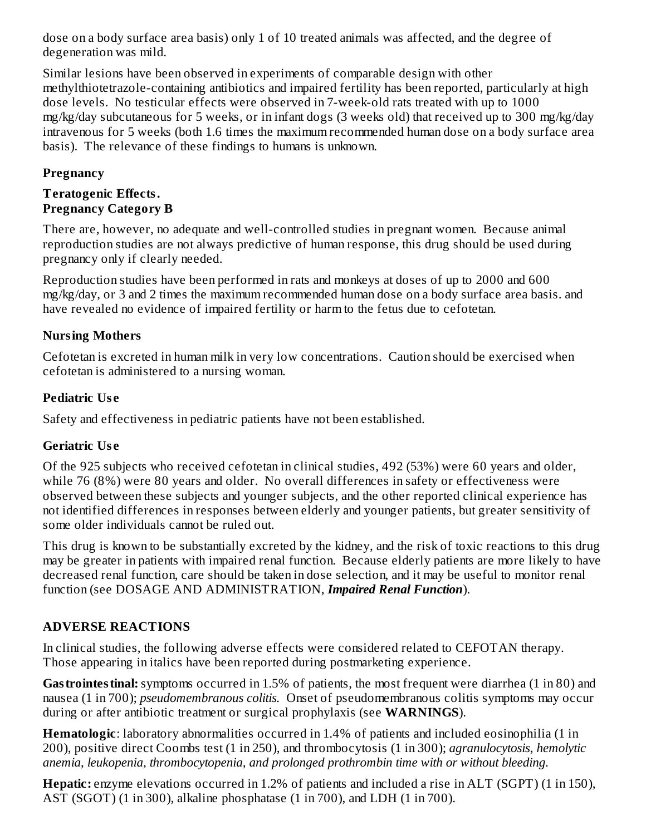dose on a body surface area basis) only 1 of 10 treated animals was affected, and the degree of degeneration was mild.

Similar lesions have been observed in experiments of comparable design with other methylthiotetrazole-containing antibiotics and impaired fertility has been reported, particularly at high dose levels. No testicular effects were observed in 7-week-old rats treated with up to 1000 mg/kg/day subcutaneous for 5 weeks, or in infant dogs (3 weeks old) that received up to 300 mg/kg/day intravenous for 5 weeks (both 1.6 times the maximum recommended human dose on a body surface area basis). The relevance of these findings to humans is unknown.

## **Pregnancy**

#### **Teratogenic Effects. Pregnancy Category B**

There are, however, no adequate and well-controlled studies in pregnant women. Because animal reproduction studies are not always predictive of human response, this drug should be used during pregnancy only if clearly needed.

Reproduction studies have been performed in rats and monkeys at doses of up to 2000 and 600 mg/kg/day, or 3 and 2 times the maximum recommended human dose on a body surface area basis. and have revealed no evidence of impaired fertility or harm to the fetus due to cefotetan.

## **Nursing Mothers**

Cefotetan is excreted in human milk in very low concentrations. Caution should be exercised when cefotetan is administered to a nursing woman.

## **Pediatric Us e**

Safety and effectiveness in pediatric patients have not been established.

# **Geriatric Us e**

Of the 925 subjects who received cefotetan in clinical studies, 492 (53%) were 60 years and older, while 76 (8%) were 80 years and older. No overall differences in safety or effectiveness were observed between these subjects and younger subjects, and the other reported clinical experience has not identified differences in responses between elderly and younger patients, but greater sensitivity of some older individuals cannot be ruled out.

This drug is known to be substantially excreted by the kidney, and the risk of toxic reactions to this drug may be greater in patients with impaired renal function. Because elderly patients are more likely to have decreased renal function, care should be taken in dose selection, and it may be useful to monitor renal function (see DOSAGE AND ADMINISTRATION, *Impaired Renal Function*).

# **ADVERSE REACTIONS**

In clinical studies, the following adverse effects were considered related to CEFOTAN therapy. Those appearing in italics have been reported during postmarketing experience.

**Gastrointestinal:**symptoms occurred in 1.5% of patients, the most frequent were diarrhea (1 in 80) and nausea (1 in 700); *pseudomembranous colitis.* Onset of pseudomembranous colitis symptoms may occur during or after antibiotic treatment or surgical prophylaxis (see **WARNINGS**).

**Hematologic**: laboratory abnormalities occurred in 1.4% of patients and included eosinophilia (1 in 200), positive direct Coombs test (1 in 250), and thrombocytosis (1 in 300); *agranulocytosis*, *hemolytic anemia*, *leukopenia*, *thrombocytopenia, and prolonged prothrombin time with or without bleeding.*

**Hepatic:** enzyme elevations occurred in 1.2% of patients and included a rise in ALT (SGPT) (1 in 150), AST (SGOT) (1 in 300), alkaline phosphatase (1 in 700), and LDH (1 in 700).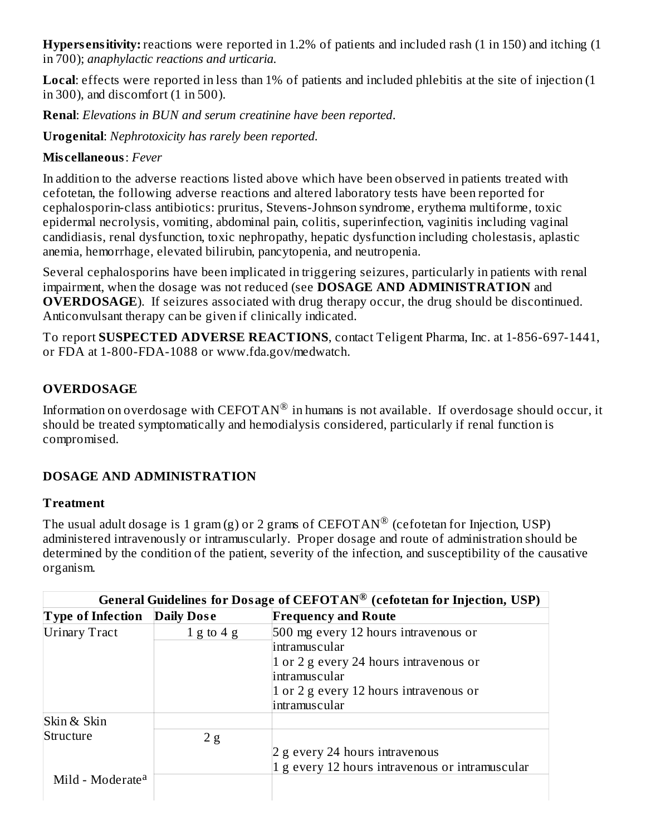**Hypers ensitivity:** reactions were reported in 1.2% of patients and included rash (1 in 150) and itching (1 in 700); *anaphylactic reactions and urticaria.*

**Local**: effects were reported in less than 1% of patients and included phlebitis at the site of injection (1 in 300), and discomfort (1 in 500).

**Renal**: *Elevations in BUN and serum creatinine have been reported*.

**Urogenital**: *Nephrotoxicity has rarely been reported.*

## **Mis cellaneous**: *Fever*

In addition to the adverse reactions listed above which have been observed in patients treated with cefotetan, the following adverse reactions and altered laboratory tests have been reported for cephalosporin-class antibiotics: pruritus, Stevens-Johnson syndrome, erythema multiforme, toxic epidermal necrolysis, vomiting, abdominal pain, colitis, superinfection, vaginitis including vaginal candidiasis, renal dysfunction, toxic nephropathy, hepatic dysfunction including cholestasis, aplastic anemia, hemorrhage, elevated bilirubin, pancytopenia, and neutropenia.

Several cephalosporins have been implicated in triggering seizures, particularly in patients with renal impairment, when the dosage was not reduced (see **DOSAGE AND ADMINISTRATION** and **OVERDOSAGE**). If seizures associated with drug therapy occur, the drug should be discontinued. Anticonvulsant therapy can be given if clinically indicated.

To report **SUSPECTED ADVERSE REACTIONS**, contact Teligent Pharma, Inc. at 1-856-697-1441, or FDA at 1-800-FDA-1088 or www.fda.gov/medwatch.

## **OVERDOSAGE**

Information on overdosage with  $\text{CEFOTAN}^{\circledR}$  in humans is not available. If overdosage should occur, it should be treated symptomatically and hemodialysis considered, particularly if renal function is compromised.

## **DOSAGE AND ADMINISTRATION**

## **Treatment**

The usual adult dosage is 1 gram(g) or 2 grams of CEFOTAN® (cefotetan for Injection, USP) administered intravenously or intramuscularly. Proper dosage and route of administration should be determined by the condition of the patient, severity of the infection, and susceptibility of the causative organism.

| General Guidelines for Dosage of CEFOTAN® (cefotetan for Injection, USP) |                   |                                                                                                                                                                             |  |  |  |
|--------------------------------------------------------------------------|-------------------|-----------------------------------------------------------------------------------------------------------------------------------------------------------------------------|--|--|--|
| <b>Type of Infection</b>                                                 | <b>Daily Dose</b> | <b>Frequency and Route</b>                                                                                                                                                  |  |  |  |
| <b>Urinary Tract</b>                                                     | 1 g to 4 g        | 500 mg every 12 hours intravenous or<br>intramuscular<br>1 or 2 g every 24 hours intravenous or<br>intramuscular<br>1 or 2 g every 12 hours intravenous or<br>intramuscular |  |  |  |
| Skin & Skin                                                              |                   |                                                                                                                                                                             |  |  |  |
| Structure                                                                | 2g                | 2 g every 24 hours intravenous<br>1 g every 12 hours intravenous or intramuscular                                                                                           |  |  |  |
| Mild - Moderate <sup>a</sup>                                             |                   |                                                                                                                                                                             |  |  |  |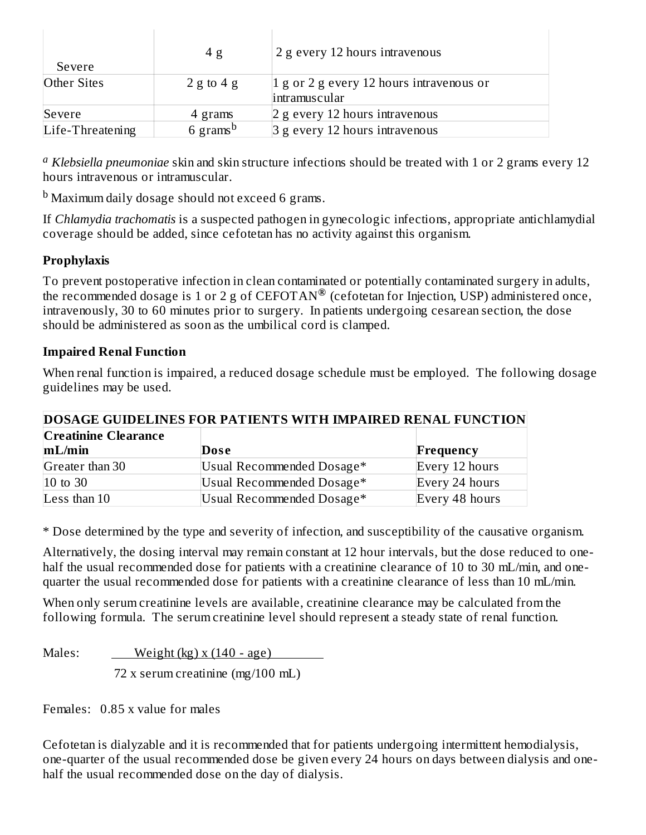| Severe           | 4g                   | 2 g every 12 hours intravenous                            |
|------------------|----------------------|-----------------------------------------------------------|
| Other Sites      | 2 g to 4 g           | 1 g or 2 g every 12 hours intravenous or<br>intramuscular |
| Severe           | 4 grams              | 2 g every 12 hours intravenous                            |
| Life-Threatening | 6 grams <sup>b</sup> | 3 g every 12 hours intravenous                            |

*Klebsiella pneumoniae* skin and skin structure infections should be treated with 1 or 2 grams every 12 *a* hours intravenous or intramuscular.

 $^{\rm b}$  Maximum daily dosage should not exceed 6 grams.

If *Chlamydia trachomatis* is a suspected pathogen in gynecologic infections, appropriate antichlamydial coverage should be added, since cefotetan has no activity against this organism.

## **Prophylaxis**

To prevent postoperative infection in clean contaminated or potentially contaminated surgery in adults, the recommended dosage is 1 or 2 g of CEFOTAN<sup>®</sup> (cefotetan for Injection, USP) administered once, intravenously, 30 to 60 minutes prior to surgery. In patients undergoing cesarean section, the dose should be administered as soon as the umbilical cord is clamped.

## **Impaired Renal Function**

When renal function is impaired, a reduced dosage schedule must be employed. The following dosage guidelines may be used.

| <b>DOSAGE GUIDELINES FOR PATIENTS WITH IMPAIRED RENAL FUNCTION</b> |                           |                |  |  |  |
|--------------------------------------------------------------------|---------------------------|----------------|--|--|--|
| <b>Creatinine Clearance</b>                                        |                           |                |  |  |  |
| mL/min                                                             | <b>Dose</b>               | Frequency      |  |  |  |
| Greater than 30                                                    | Usual Recommended Dosage* | Every 12 hours |  |  |  |
| $ 10 \text{ to } 30$                                               | Usual Recommended Dosage* | Every 24 hours |  |  |  |
| Less than 10                                                       | Usual Recommended Dosage* | Every 48 hours |  |  |  |

\* Dose determined by the type and severity of infection, and susceptibility of the causative organism.

Alternatively, the dosing interval may remain constant at 12 hour intervals, but the dose reduced to onehalf the usual recommended dose for patients with a creatinine clearance of 10 to 30 mL/min, and onequarter the usual recommended dose for patients with a creatinine clearance of less than 10 mL/min.

When only serum creatinine levels are available, creatinine clearance may be calculated from the following formula. The serum creatinine level should represent a steady state of renal function.

Males: Weight  $(kg)$  x  $(140 - age)$ 

72 x serum creatinine (mg/100 mL)

Females: 0.85 x value for males

Cefotetan is dialyzable and it is recommended that for patients undergoing intermittent hemodialysis, one-quarter of the usual recommended dose be given every 24 hours on days between dialysis and onehalf the usual recommended dose on the day of dialysis.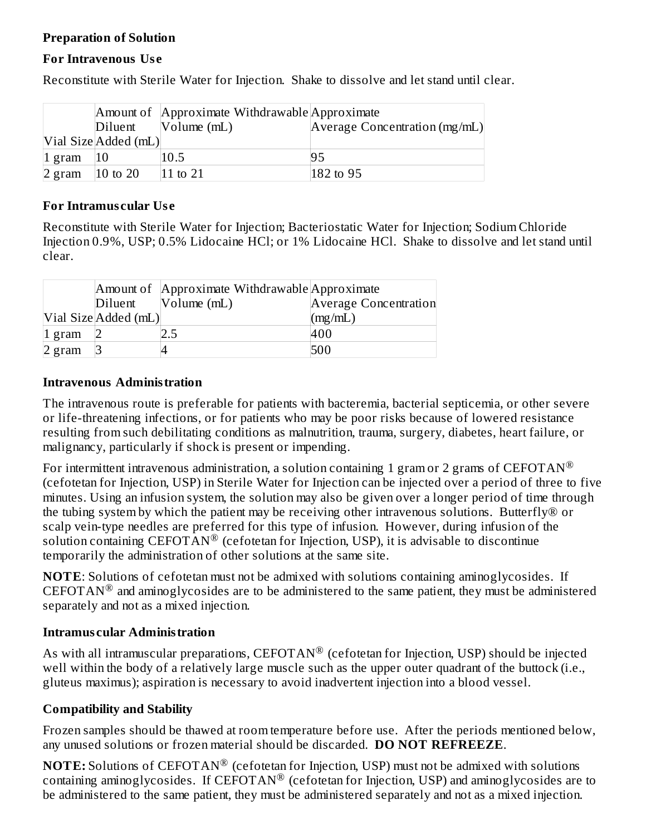## **Preparation of Solution**

### **For Intravenous Us e**

Reconstitute with Sterile Water for Injection. Shake to dissolve and let stand until clear.

|          |                      | Amount of Approximate Withdrawable Approximate |                                    |
|----------|----------------------|------------------------------------------------|------------------------------------|
|          |                      | Diluent Volume (mL)                            | $ Average$ Concentration $(mg/mL)$ |
|          | Vial Size Added (mL) |                                                |                                    |
| $1$ gram | - 10                 | 10.5                                           | 195                                |
| $2$ gram | $10$ to $20$         | $ 11 \text{ to } 21$                           | 182 to 95                          |

## **For Intramus cular Us e**

Reconstitute with Sterile Water for Injection; Bacteriostatic Water for Injection; Sodium Chloride Injection 0.9%, USP; 0.5% Lidocaine HCl; or 1% Lidocaine HCl. Shake to dissolve and let stand until clear.

|                 |                      | Amount of Approximate Withdrawable Approximate<br>Diluent Volume (mL) | <b>Average Concentration</b> |
|-----------------|----------------------|-----------------------------------------------------------------------|------------------------------|
|                 | Vial Size Added (mL) |                                                                       | (mg/mL)                      |
| $\vert$ 1 gram  |                      | 2.5                                                                   | 400                          |
| $\sqrt{2}$ gram |                      |                                                                       | 500                          |

### **Intravenous Administration**

The intravenous route is preferable for patients with bacteremia, bacterial septicemia, or other severe or life-threatening infections, or for patients who may be poor risks because of lowered resistance resulting from such debilitating conditions as malnutrition, trauma, surgery, diabetes, heart failure, or malignancy, particularly if shock is present or impending.

For intermittent intravenous administration, a solution containing 1 gram or 2 grams of CEFOTAN® (cefotetan for Injection, USP) in Sterile Water for Injection can be injected over a period of three to five minutes. Using an infusion system, the solution may also be given over a longer period of time through the tubing system by which the patient may be receiving other intravenous solutions. Butterfly® or scalp vein-type needles are preferred for this type of infusion. However, during infusion of the solution containing CEFOTAN® (cefotetan for Injection, USP), it is advisable to discontinue temporarily the administration of other solutions at the same site.

**NOTE**: Solutions of cefotetan must not be admixed with solutions containing aminoglycosides. If CEFOTAN<sup>®</sup> and aminoglycosides are to be administered to the same patient, they must be administered separately and not as a mixed injection.

## **Intramus cular Administration**

As with all intramuscular preparations,  $\text{CEFOTAN}^{\circledR}$  (cefotetan for Injection, USP) should be injected well within the body of a relatively large muscle such as the upper outer quadrant of the buttock (i.e., gluteus maximus); aspiration is necessary to avoid inadvertent injection into a blood vessel.

## **Compatibility and Stability**

Frozen samples should be thawed at room temperature before use. After the periods mentioned below, any unused solutions or frozen material should be discarded. **DO NOT REFREEZE**.

 $\mathbf{NOTE:}$  Solutions of  $\mathsf{CEFOTAN}^\circledR$  (cefotetan for Injection, USP) must not be admixed with solutions containing aminoglycosides. If CEFOTAN® (cefotetan for Injection, USP) and aminoglycosides are to be administered to the same patient, they must be administered separately and not as a mixed injection.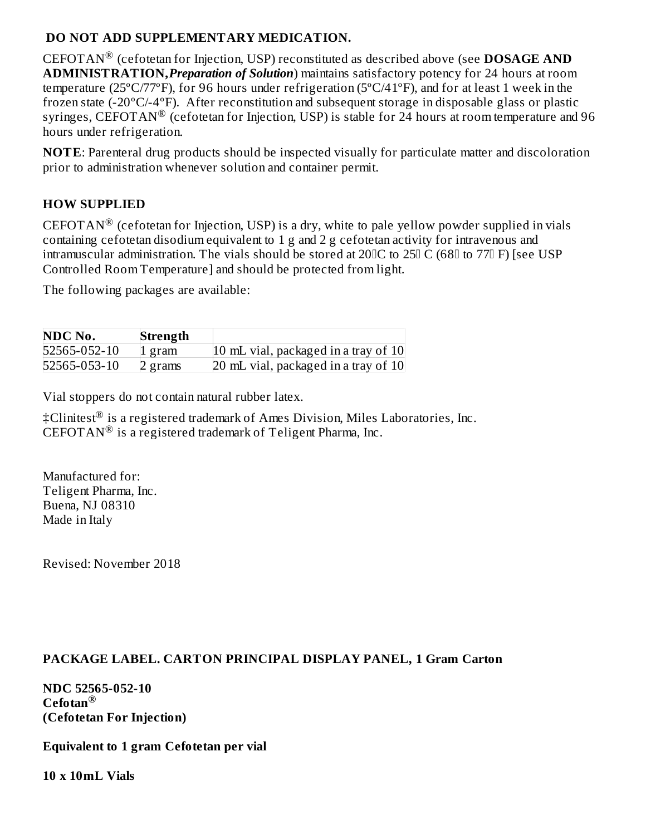## **DO NOT ADD SUPPLEMENTARY MEDICATION.**

CEFOTAN® (cefotetan for Injection, USP) reconstituted as described above (see **DOSAGE AND ADMINISTRATION,***Preparation of Solution*) maintains satisfactory potency for 24 hours at room temperature (25ºC/77ºF), for 96 hours under refrigeration (5ºC/41ºF), and for at least 1 week in the frozen state (-20ºC/-4ºF). After reconstitution and subsequent storage in disposable glass or plastic syringes, CEFOTAN<sup>®</sup> (cefotetan for Injection, USP) is stable for 24 hours at room temperature and 96 hours under refrigeration.

**NOTE**: Parenteral drug products should be inspected visually for particulate matter and discoloration prior to administration whenever solution and container permit.

## **HOW SUPPLIED**

CEFOTAN<sup>®</sup> (cefotetan for Injection, USP) is a dry, white to pale yellow powder supplied in vials containing cefotetan disodium equivalent to 1 g and 2 g cefotetan activity for intravenous and intramuscular administration. The vials should be stored at 20 $IC$  to 25 $IC$  (68 $I$  to 77 $I$  F) [see USP Controlled Room Temperature] and should be protected from light.

The following packages are available:

| NDC No.      | Strength         |                                      |
|--------------|------------------|--------------------------------------|
| 52565-052-10 | $\parallel$ gram | 10 mL vial, packaged in a tray of 10 |
| 52565-053-10 | $2$ grams        | 20 mL vial, packaged in a tray of 10 |

Vial stoppers do not contain natural rubber latex.

 $\ddagger$ Clinitest $^{\circledR}$  is a registered trademark of Ames Division, Miles Laboratories, Inc.  $\text{CEFOTAN}^{\circledR}$  is a registered trademark of Teligent Pharma, Inc.

Manufactured for: Teligent Pharma, Inc. Buena, NJ 08310 Made in Italy

Revised: November 2018

## **PACKAGE LABEL. CARTON PRINCIPAL DISPLAY PANEL, 1 Gram Carton**

**NDC 52565-052-10 Cefotan ®(Cefotetan For Injection)**

**Equivalent to 1 gram Cefotetan per vial**

**10 x 10mL Vials**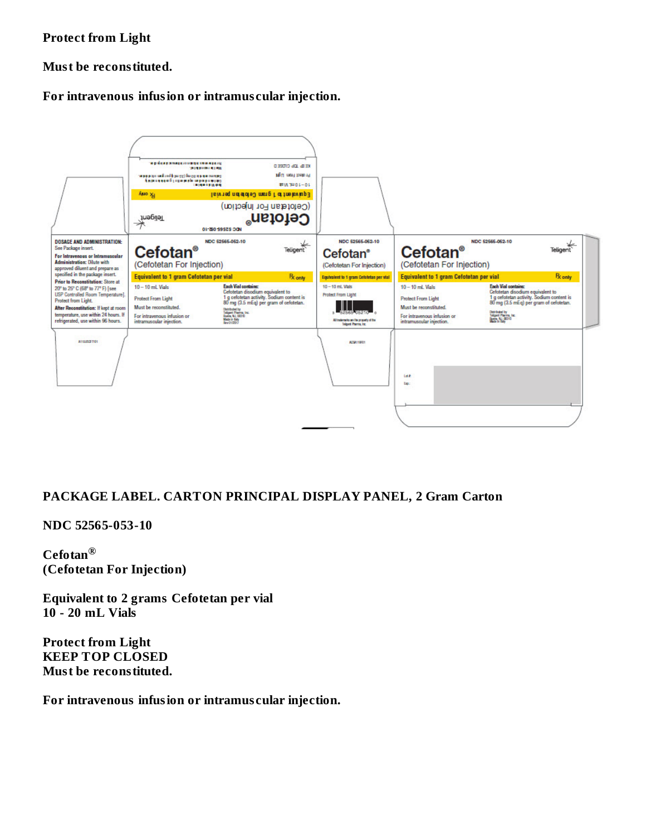## **Protect from Light**

#### **Must be reconstituted.**

#### **For intravenous infusion or intramus cular injection.**



#### **PACKAGE LABEL. CARTON PRINCIPAL DISPLAY PANEL, 2 Gram Carton**

**NDC 52565-053-10**

**Cefotan ®(Cefotetan For Injection)**

**Equivalent to 2 grams Cefotetan per vial 10 - 20 mL Vials**

**Protect from Light KEEP TOP CLOSED Must be reconstituted.**

**For intravenous infusion or intramus cular injection.**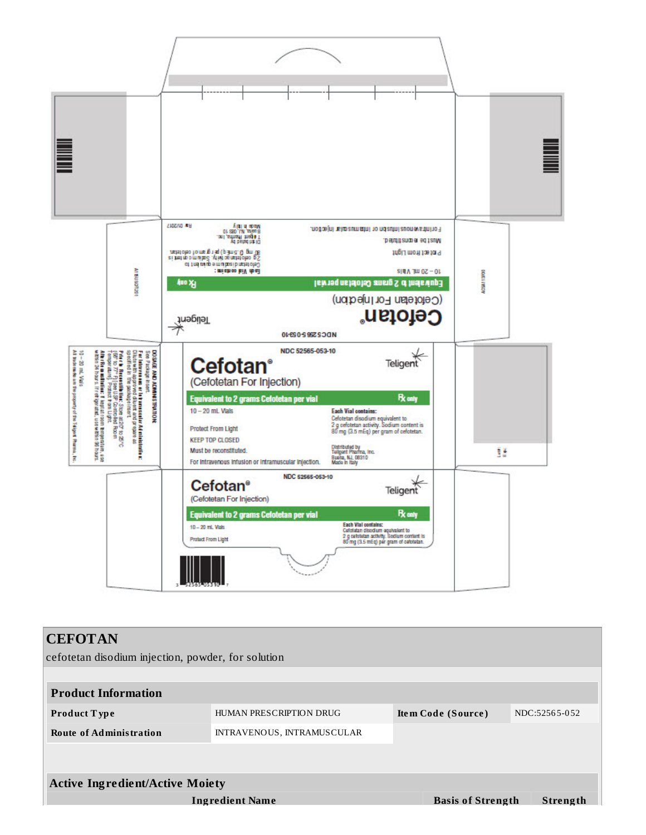

| <b>CEFOTAN</b>                                                 |                         |                    |               |  |  |  |
|----------------------------------------------------------------|-------------------------|--------------------|---------------|--|--|--|
| cefotetan disodium injection, powder, for solution             |                         |                    |               |  |  |  |
|                                                                |                         |                    |               |  |  |  |
| <b>Product Information</b>                                     |                         |                    |               |  |  |  |
| <b>Product Type</b>                                            | HUMAN PRESCRIPTION DRUG | Item Code (Source) | NDC:52565-052 |  |  |  |
| <b>Route of Administration</b>                                 |                         |                    |               |  |  |  |
|                                                                |                         |                    |               |  |  |  |
|                                                                |                         |                    |               |  |  |  |
| <b>Active Ingredient/Active Moiety</b>                         |                         |                    |               |  |  |  |
| <b>Ingredient Name</b><br><b>Basis of Strength</b><br>Strength |                         |                    |               |  |  |  |
|                                                                |                         |                    |               |  |  |  |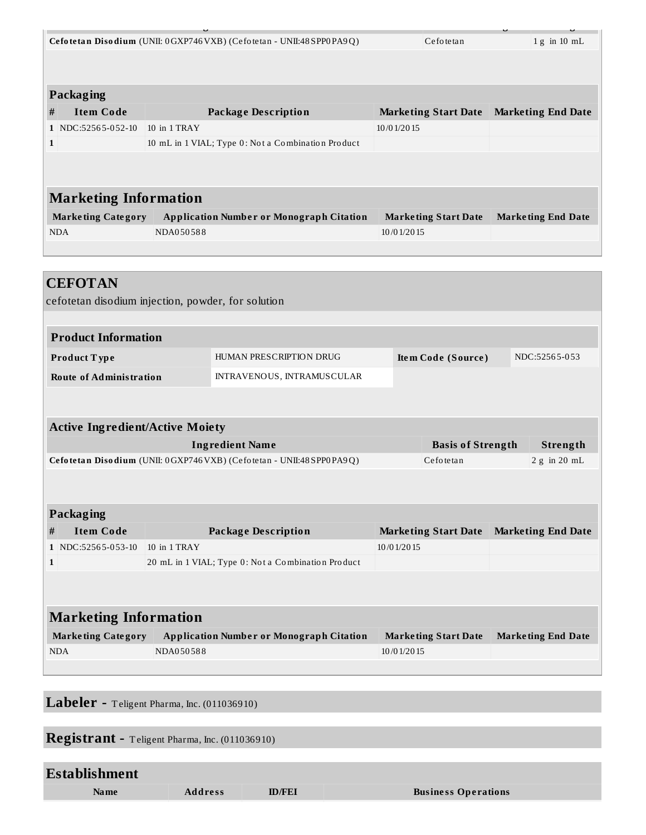| Cefotetan Disodium (UNII: 0GXP746VXB) (Cefotetan - UNII:48SPP0PA9Q) - | Cefotetan | 1 g in 10 mL |
|-----------------------------------------------------------------------|-----------|--------------|
|-----------------------------------------------------------------------|-----------|--------------|

**Ingredient Name Basis of Strength Strength**

|              | Packaging                    |                                                    |                             |                           |  |  |  |  |  |
|--------------|------------------------------|----------------------------------------------------|-----------------------------|---------------------------|--|--|--|--|--|
| #            | <b>Item Code</b>             | <b>Package Description</b>                         | <b>Marketing Start Date</b> | <b>Marketing End Date</b> |  |  |  |  |  |
|              | 1 NDC:52565-052-10           | 10 in 1 TRAY                                       | 10/01/2015                  |                           |  |  |  |  |  |
| $\mathbf{1}$ |                              | 10 mL in 1 VIAL; Type 0: Not a Combination Product |                             |                           |  |  |  |  |  |
|              |                              |                                                    |                             |                           |  |  |  |  |  |
|              |                              |                                                    |                             |                           |  |  |  |  |  |
|              | <b>Marketing Information</b> |                                                    |                             |                           |  |  |  |  |  |
|              | <b>Marketing Category</b>    | <b>Application Number or Monograph Citation</b>    | <b>Marketing Start Date</b> | <b>Marketing End Date</b> |  |  |  |  |  |
|              | <b>NDA</b>                   | NDA050588                                          | 10/01/2015                  |                           |  |  |  |  |  |
|              |                              |                                                    |                             |                           |  |  |  |  |  |

|                                                                     | <b>CEFOTAN</b>            |              |                                                    |                          |                             |               |                           |  |  |  |
|---------------------------------------------------------------------|---------------------------|--------------|----------------------------------------------------|--------------------------|-----------------------------|---------------|---------------------------|--|--|--|
| cefotetan disodium injection, powder, for solution                  |                           |              |                                                    |                          |                             |               |                           |  |  |  |
|                                                                     |                           |              |                                                    |                          |                             |               |                           |  |  |  |
| <b>Product Information</b>                                          |                           |              |                                                    |                          |                             |               |                           |  |  |  |
| Product Type                                                        |                           |              | HUMAN PRESCRIPTION DRUG                            | Item Code (Source)       |                             | NDC:52565-053 |                           |  |  |  |
| <b>Route of Administration</b>                                      |                           |              | INTRAVENOUS, INTRAMUSCULAR                         |                          |                             |               |                           |  |  |  |
|                                                                     |                           |              |                                                    |                          |                             |               |                           |  |  |  |
|                                                                     |                           |              |                                                    |                          |                             |               |                           |  |  |  |
| <b>Active Ingredient/Active Moiety</b>                              |                           |              |                                                    |                          |                             |               |                           |  |  |  |
|                                                                     |                           |              | <b>Ingredient Name</b>                             | <b>Basis of Strength</b> |                             |               | Strength                  |  |  |  |
| Cefotetan Disodium (UNII: 0GXP746VXB) (Cefotetan - UNII:48SPP0PA9Q) |                           |              |                                                    |                          | Cefotetan                   |               | 2 g in 20 mL              |  |  |  |
|                                                                     |                           |              |                                                    |                          |                             |               |                           |  |  |  |
|                                                                     |                           |              |                                                    |                          |                             |               |                           |  |  |  |
| <b>Packaging</b>                                                    |                           |              |                                                    |                          |                             |               |                           |  |  |  |
| #                                                                   | <b>Item Code</b>          |              | <b>Package Description</b>                         |                          | <b>Marketing Start Date</b> |               | <b>Marketing End Date</b> |  |  |  |
|                                                                     | 1 NDC:52565-053-10        | 10 in 1 TRAY |                                                    | 10/01/2015               |                             |               |                           |  |  |  |
| $\mathbf{1}$                                                        |                           |              | 20 mL in 1 VIAL; Type 0: Not a Combination Product |                          |                             |               |                           |  |  |  |
|                                                                     |                           |              |                                                    |                          |                             |               |                           |  |  |  |
|                                                                     |                           |              |                                                    |                          |                             |               |                           |  |  |  |
| <b>Marketing Information</b>                                        |                           |              |                                                    |                          |                             |               |                           |  |  |  |
|                                                                     | <b>Marketing Category</b> |              | <b>Application Number or Monograph Citation</b>    |                          | <b>Marketing Start Date</b> |               | <b>Marketing End Date</b> |  |  |  |
| NDA050588<br><b>NDA</b>                                             |                           |              |                                                    | 10/01/2015               |                             |               |                           |  |  |  |
|                                                                     |                           |              |                                                    |                          |                             |               |                           |  |  |  |

**Labeler -** Teligent Pharma, Inc. (011036910)

**Registrant -** Teligent Pharma, Inc. (011036910)

| <b>Establishment</b> |                |               |                            |  |  |  |  |  |
|----------------------|----------------|---------------|----------------------------|--|--|--|--|--|
| <b>Name</b>          | <b>Address</b> | <b>ID/FEI</b> | <b>Business Operations</b> |  |  |  |  |  |